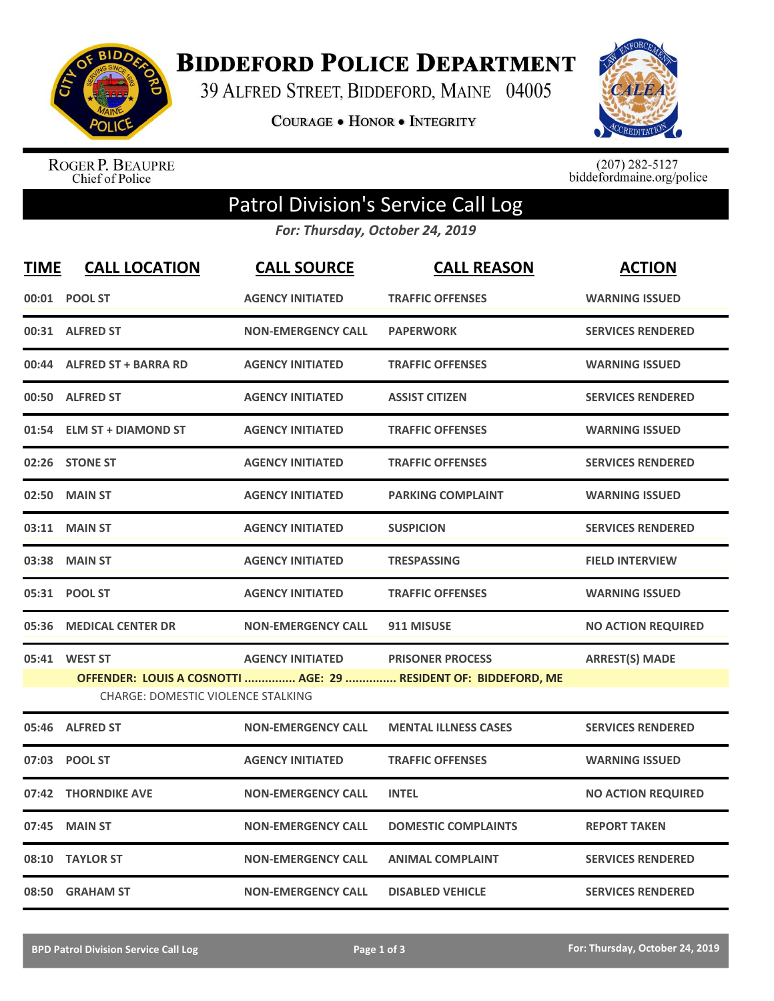

**BIDDEFORD POLICE DEPARTMENT** 

39 ALFRED STREET, BIDDEFORD, MAINE 04005

**COURAGE . HONOR . INTEGRITY** 



ROGER P. BEAUPRE<br>Chief of Police

 $(207)$  282-5127<br>biddefordmaine.org/police

## Patrol Division's Service Call Log

*For: Thursday, October 24, 2019*

| <b>TIME</b>                                                                                                  | <b>CALL LOCATION</b>       | <b>CALL SOURCE</b>        | <b>CALL REASON</b>          | <b>ACTION</b>             |  |  |  |
|--------------------------------------------------------------------------------------------------------------|----------------------------|---------------------------|-----------------------------|---------------------------|--|--|--|
|                                                                                                              | 00:01 POOL ST              | <b>AGENCY INITIATED</b>   | <b>TRAFFIC OFFENSES</b>     | <b>WARNING ISSUED</b>     |  |  |  |
|                                                                                                              | 00:31 ALFRED ST            | <b>NON-EMERGENCY CALL</b> | <b>PAPERWORK</b>            | <b>SERVICES RENDERED</b>  |  |  |  |
|                                                                                                              | 00:44 ALFRED ST + BARRA RD | <b>AGENCY INITIATED</b>   | <b>TRAFFIC OFFENSES</b>     | <b>WARNING ISSUED</b>     |  |  |  |
|                                                                                                              | 00:50 ALFRED ST            | <b>AGENCY INITIATED</b>   | <b>ASSIST CITIZEN</b>       | <b>SERVICES RENDERED</b>  |  |  |  |
|                                                                                                              | 01:54 ELM ST + DIAMOND ST  | <b>AGENCY INITIATED</b>   | <b>TRAFFIC OFFENSES</b>     | <b>WARNING ISSUED</b>     |  |  |  |
| 02:26                                                                                                        | <b>STONE ST</b>            | <b>AGENCY INITIATED</b>   | <b>TRAFFIC OFFENSES</b>     | <b>SERVICES RENDERED</b>  |  |  |  |
| 02:50                                                                                                        | <b>MAIN ST</b>             | <b>AGENCY INITIATED</b>   | <b>PARKING COMPLAINT</b>    | <b>WARNING ISSUED</b>     |  |  |  |
|                                                                                                              | 03:11 MAIN ST              | <b>AGENCY INITIATED</b>   | <b>SUSPICION</b>            | <b>SERVICES RENDERED</b>  |  |  |  |
| 03:38                                                                                                        | <b>MAIN ST</b>             | <b>AGENCY INITIATED</b>   | <b>TRESPASSING</b>          | <b>FIELD INTERVIEW</b>    |  |  |  |
|                                                                                                              | 05:31 POOL ST              | <b>AGENCY INITIATED</b>   | <b>TRAFFIC OFFENSES</b>     | <b>WARNING ISSUED</b>     |  |  |  |
| 05:36                                                                                                        | <b>MEDICAL CENTER DR</b>   | <b>NON-EMERGENCY CALL</b> | 911 MISUSE                  | <b>NO ACTION REQUIRED</b> |  |  |  |
|                                                                                                              | 05:41 WEST ST              | <b>AGENCY INITIATED</b>   | <b>PRISONER PROCESS</b>     | <b>ARREST(S) MADE</b>     |  |  |  |
| OFFENDER: LOUIS A COSNOTTI  AGE: 29  RESIDENT OF: BIDDEFORD, ME<br><b>CHARGE: DOMESTIC VIOLENCE STALKING</b> |                            |                           |                             |                           |  |  |  |
| 05:46                                                                                                        | <b>ALFRED ST</b>           | <b>NON-EMERGENCY CALL</b> | <b>MENTAL ILLNESS CASES</b> | <b>SERVICES RENDERED</b>  |  |  |  |
| 07:03                                                                                                        | <b>POOL ST</b>             | <b>AGENCY INITIATED</b>   | <b>TRAFFIC OFFENSES</b>     | <b>WARNING ISSUED</b>     |  |  |  |
| 07:42                                                                                                        | <b>THORNDIKE AVE</b>       | <b>NON-EMERGENCY CALL</b> | <b>INTEL</b>                | <b>NO ACTION REQUIRED</b> |  |  |  |
| 07:45                                                                                                        | <b>MAIN ST</b>             | <b>NON-EMERGENCY CALL</b> | <b>DOMESTIC COMPLAINTS</b>  | <b>REPORT TAKEN</b>       |  |  |  |
| 08:10                                                                                                        | <b>TAYLOR ST</b>           | <b>NON-EMERGENCY CALL</b> | <b>ANIMAL COMPLAINT</b>     | <b>SERVICES RENDERED</b>  |  |  |  |
|                                                                                                              | 08:50 GRAHAM ST            | <b>NON-EMERGENCY CALL</b> | <b>DISABLED VEHICLE</b>     | <b>SERVICES RENDERED</b>  |  |  |  |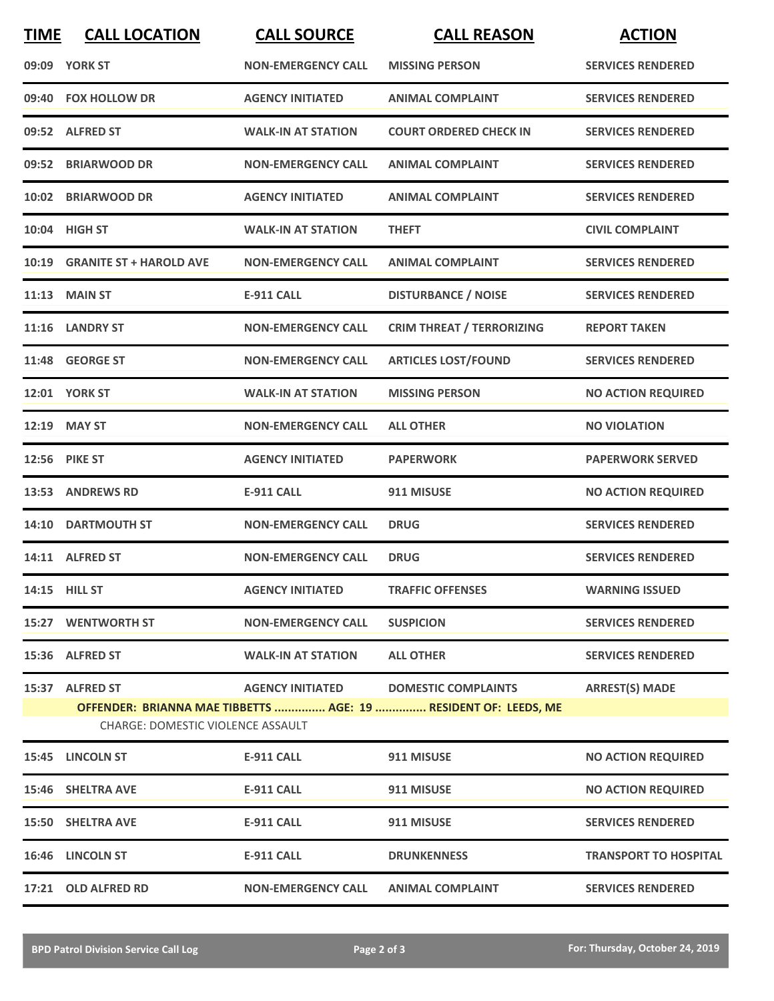| <b>TIME</b> | <b>CALL LOCATION</b>                     | <b>CALL SOURCE</b>        | <b>CALL REASON</b>                                              | <b>ACTION</b>                |
|-------------|------------------------------------------|---------------------------|-----------------------------------------------------------------|------------------------------|
|             | 09:09 YORK ST                            | <b>NON-EMERGENCY CALL</b> | <b>MISSING PERSON</b>                                           | <b>SERVICES RENDERED</b>     |
|             | 09:40 FOX HOLLOW DR                      | <b>AGENCY INITIATED</b>   | <b>ANIMAL COMPLAINT</b>                                         | <b>SERVICES RENDERED</b>     |
|             | 09:52 ALFRED ST                          | <b>WALK-IN AT STATION</b> | <b>COURT ORDERED CHECK IN</b>                                   | <b>SERVICES RENDERED</b>     |
|             | 09:52 BRIARWOOD DR                       | <b>NON-EMERGENCY CALL</b> | <b>ANIMAL COMPLAINT</b>                                         | <b>SERVICES RENDERED</b>     |
|             | 10:02 BRIARWOOD DR                       | <b>AGENCY INITIATED</b>   | <b>ANIMAL COMPLAINT</b>                                         | <b>SERVICES RENDERED</b>     |
|             | 10:04 HIGH ST                            | <b>WALK-IN AT STATION</b> | <b>THEFT</b>                                                    | <b>CIVIL COMPLAINT</b>       |
|             | 10:19 GRANITE ST + HAROLD AVE            | <b>NON-EMERGENCY CALL</b> | <b>ANIMAL COMPLAINT</b>                                         | <b>SERVICES RENDERED</b>     |
|             | <b>11:13 MAIN ST</b>                     | <b>E-911 CALL</b>         | <b>DISTURBANCE / NOISE</b>                                      | <b>SERVICES RENDERED</b>     |
|             | 11:16 LANDRY ST                          | <b>NON-EMERGENCY CALL</b> | <b>CRIM THREAT / TERRORIZING</b>                                | <b>REPORT TAKEN</b>          |
|             | 11:48 GEORGE ST                          | <b>NON-EMERGENCY CALL</b> | <b>ARTICLES LOST/FOUND</b>                                      | <b>SERVICES RENDERED</b>     |
|             | <b>12:01 YORK ST</b>                     | <b>WALK-IN AT STATION</b> | <b>MISSING PERSON</b>                                           | <b>NO ACTION REQUIRED</b>    |
|             | 12:19 MAY ST                             | <b>NON-EMERGENCY CALL</b> | <b>ALL OTHER</b>                                                | <b>NO VIOLATION</b>          |
|             | 12:56 PIKE ST                            | <b>AGENCY INITIATED</b>   | <b>PAPERWORK</b>                                                | <b>PAPERWORK SERVED</b>      |
|             | 13:53 ANDREWS RD                         | <b>E-911 CALL</b>         | 911 MISUSE                                                      | <b>NO ACTION REQUIRED</b>    |
| 14:10       | <b>DARTMOUTH ST</b>                      | <b>NON-EMERGENCY CALL</b> | <b>DRUG</b>                                                     | <b>SERVICES RENDERED</b>     |
|             | 14:11 ALFRED ST                          | <b>NON-EMERGENCY CALL</b> | <b>DRUG</b>                                                     | <b>SERVICES RENDERED</b>     |
|             | 14:15 HILL ST                            | <b>AGENCY INITIATED</b>   | <b>TRAFFIC OFFENSES</b>                                         | <b>WARNING ISSUED</b>        |
|             | <b>15:27 WENTWORTH ST</b>                | <b>NON-EMERGENCY CALL</b> | <b>SUSPICION</b>                                                | <b>SERVICES RENDERED</b>     |
|             | 15:36 ALFRED ST                          | <b>WALK-IN AT STATION</b> | <b>ALL OTHER</b>                                                | <b>SERVICES RENDERED</b>     |
|             | 15:37 ALFRED ST                          | <b>AGENCY INITIATED</b>   | <b>DOMESTIC COMPLAINTS</b>                                      | <b>ARREST(S) MADE</b>        |
|             | <b>CHARGE: DOMESTIC VIOLENCE ASSAULT</b> |                           | OFFENDER: BRIANNA MAE TIBBETTS  AGE: 19  RESIDENT OF: LEEDS, ME |                              |
|             | 15:45 LINCOLN ST                         | <b>E-911 CALL</b>         | 911 MISUSE                                                      | <b>NO ACTION REQUIRED</b>    |
|             | 15:46 SHELTRA AVE                        | <b>E-911 CALL</b>         | 911 MISUSE                                                      | <b>NO ACTION REQUIRED</b>    |
|             | 15:50 SHELTRA AVE                        | <b>E-911 CALL</b>         | 911 MISUSE                                                      | <b>SERVICES RENDERED</b>     |
|             | 16:46 LINCOLN ST                         | E-911 CALL                | <b>DRUNKENNESS</b>                                              | <b>TRANSPORT TO HOSPITAL</b> |
|             | 17:21 OLD ALFRED RD                      | <b>NON-EMERGENCY CALL</b> | <b>ANIMAL COMPLAINT</b>                                         | <b>SERVICES RENDERED</b>     |